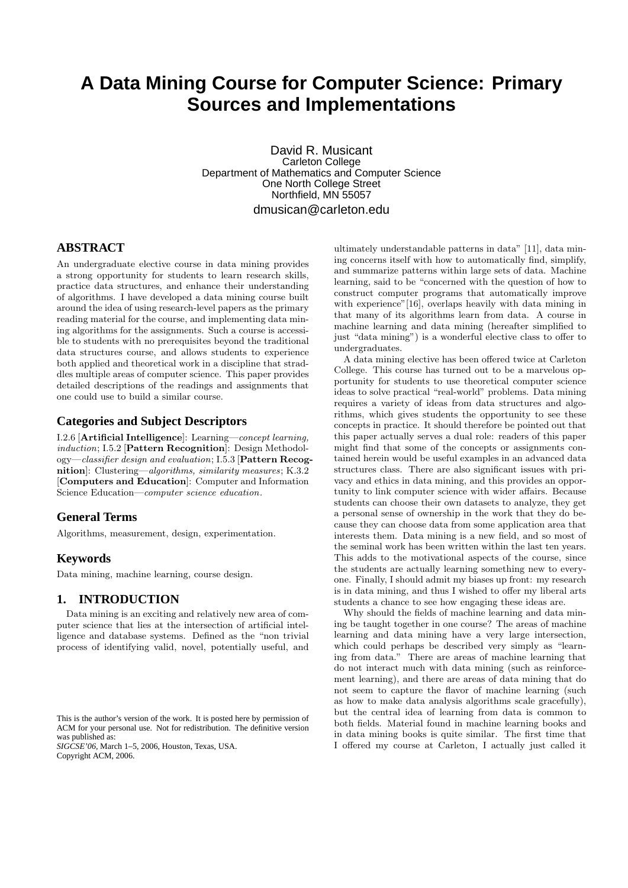# **A Data Mining Course for Computer Science: Primary Sources and Implementations**

David R. Musicant Carleton College Department of Mathematics and Computer Science One North College Street Northfield, MN 55057 dmusican@carleton.edu

## **ABSTRACT**

An undergraduate elective course in data mining provides a strong opportunity for students to learn research skills, practice data structures, and enhance their understanding of algorithms. I have developed a data mining course built around the idea of using research-level papers as the primary reading material for the course, and implementing data mining algorithms for the assignments. Such a course is accessible to students with no prerequisites beyond the traditional data structures course, and allows students to experience both applied and theoretical work in a discipline that straddles multiple areas of computer science. This paper provides detailed descriptions of the readings and assignments that one could use to build a similar course.

# **Categories and Subject Descriptors**

I.2.6 [Artificial Intelligence]: Learning—concept learning, induction; I.5.2 [Pattern Recognition]: Design Methodology—classifier design and evaluation; I.5.3 [Pattern Recognition]: Clustering—algorithms, similarity measures; K.3.2 [Computers and Education]: Computer and Information Science Education—computer science education.

## **General Terms**

Algorithms, measurement, design, experimentation.

#### **Keywords**

Data mining, machine learning, course design.

# **1. INTRODUCTION**

Data mining is an exciting and relatively new area of computer science that lies at the intersection of artificial intelligence and database systems. Defined as the "non trivial process of identifying valid, novel, potentially useful, and

*SIGCSE'06,* March 1–5, 2006, Houston, Texas, USA. Copyright ACM, 2006.

ultimately understandable patterns in data" [11], data mining concerns itself with how to automatically find, simplify, and summarize patterns within large sets of data. Machine learning, said to be "concerned with the question of how to construct computer programs that automatically improve with experience"[16], overlaps heavily with data mining in that many of its algorithms learn from data. A course in machine learning and data mining (hereafter simplified to just "data mining") is a wonderful elective class to offer to undergraduates.

A data mining elective has been offered twice at Carleton College. This course has turned out to be a marvelous opportunity for students to use theoretical computer science ideas to solve practical "real-world" problems. Data mining requires a variety of ideas from data structures and algorithms, which gives students the opportunity to see these concepts in practice. It should therefore be pointed out that this paper actually serves a dual role: readers of this paper might find that some of the concepts or assignments contained herein would be useful examples in an advanced data structures class. There are also significant issues with privacy and ethics in data mining, and this provides an opportunity to link computer science with wider affairs. Because students can choose their own datasets to analyze, they get a personal sense of ownership in the work that they do because they can choose data from some application area that interests them. Data mining is a new field, and so most of the seminal work has been written within the last ten years. This adds to the motivational aspects of the course, since the students are actually learning something new to everyone. Finally, I should admit my biases up front: my research is in data mining, and thus I wished to offer my liberal arts students a chance to see how engaging these ideas are.

Why should the fields of machine learning and data mining be taught together in one course? The areas of machine learning and data mining have a very large intersection, which could perhaps be described very simply as "learning from data." There are areas of machine learning that do not interact much with data mining (such as reinforcement learning), and there are areas of data mining that do not seem to capture the flavor of machine learning (such as how to make data analysis algorithms scale gracefully), but the central idea of learning from data is common to both fields. Material found in machine learning books and in data mining books is quite similar. The first time that I offered my course at Carleton, I actually just called it

This is the author's version of the work. It is posted here by permission of ACM for your personal use. Not for redistribution. The definitive version was published as: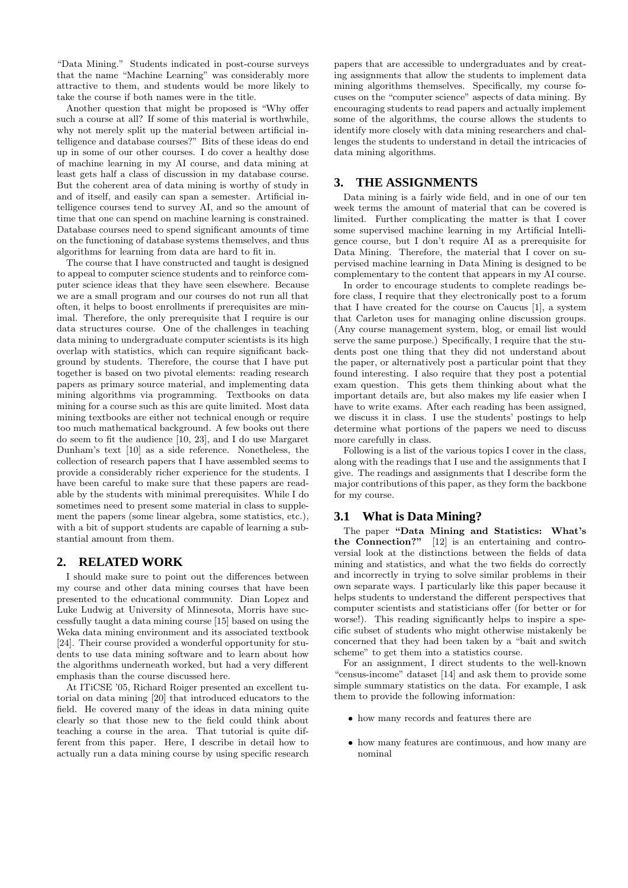"Data Mining." Students indicated in post-course surveys that the name "Machine Learning" was considerably more attractive to them, and students would be more likely to take the course if both names were in the title.

Another question that might be proposed is "Why offer such a course at all? If some of this material is worthwhile, why not merely split up the material between artificial intelligence and database courses?" Bits of these ideas do end up in some of our other courses. I do cover a healthy dose of machine learning in my AI course, and data mining at least gets half a class of discussion in my database course. But the coherent area of data mining is worthy of study in and of itself, and easily can span a semester. Artificial intelligence courses tend to survey AI, and so the amount of time that one can spend on machine learning is constrained. Database courses need to spend significant amounts of time on the functioning of database systems themselves, and thus algorithms for learning from data are hard to fit in.

The course that I have constructed and taught is designed to appeal to computer science students and to reinforce computer science ideas that they have seen elsewhere. Because we are a small program and our courses do not run all that often, it helps to boost enrollments if prerequisites are minimal. Therefore, the only prerequisite that I require is our data structures course. One of the challenges in teaching data mining to undergraduate computer scientists is its high overlap with statistics, which can require significant background by students. Therefore, the course that I have put together is based on two pivotal elements: reading research papers as primary source material, and implementing data mining algorithms via programming. Textbooks on data mining for a course such as this are quite limited. Most data mining textbooks are either not technical enough or require too much mathematical background. A few books out there do seem to fit the audience [10, 23], and I do use Margaret Dunham's text [10] as a side reference. Nonetheless, the collection of research papers that I have assembled seems to provide a considerably richer experience for the students. I have been careful to make sure that these papers are readable by the students with minimal prerequisites. While I do sometimes need to present some material in class to supplement the papers (some linear algebra, some statistics, etc.), with a bit of support students are capable of learning a substantial amount from them.

## **2. RELATED WORK**

I should make sure to point out the differences between my course and other data mining courses that have been presented to the educational community. Dian Lopez and Luke Ludwig at University of Minnesota, Morris have successfully taught a data mining course [15] based on using the Weka data mining environment and its associated textbook [24]. Their course provided a wonderful opportunity for students to use data mining software and to learn about how the algorithms underneath worked, but had a very different emphasis than the course discussed here.

At ITiCSE '05, Richard Roiger presented an excellent tutorial on data mining [20] that introduced educators to the field. He covered many of the ideas in data mining quite clearly so that those new to the field could think about teaching a course in the area. That tutorial is quite different from this paper. Here, I describe in detail how to actually run a data mining course by using specific research

papers that are accessible to undergraduates and by creating assignments that allow the students to implement data mining algorithms themselves. Specifically, my course focuses on the "computer science" aspects of data mining. By encouraging students to read papers and actually implement some of the algorithms, the course allows the students to identify more closely with data mining researchers and challenges the students to understand in detail the intricacies of data mining algorithms.

#### **3. THE ASSIGNMENTS**

Data mining is a fairly wide field, and in one of our ten week terms the amount of material that can be covered is limited. Further complicating the matter is that I cover some supervised machine learning in my Artificial Intelligence course, but I don't require AI as a prerequisite for Data Mining. Therefore, the material that I cover on supervised machine learning in Data Mining is designed to be complementary to the content that appears in my AI course.

In order to encourage students to complete readings before class, I require that they electronically post to a forum that I have created for the course on Caucus [1], a system that Carleton uses for managing online discussion groups. (Any course management system, blog, or email list would serve the same purpose.) Specifically, I require that the students post one thing that they did not understand about the paper, or alternatively post a particular point that they found interesting. I also require that they post a potential exam question. This gets them thinking about what the important details are, but also makes my life easier when I have to write exams. After each reading has been assigned, we discuss it in class. I use the students' postings to help determine what portions of the papers we need to discuss more carefully in class.

Following is a list of the various topics I cover in the class, along with the readings that I use and the assignments that I give. The readings and assignments that I describe form the major contributions of this paper, as they form the backbone for my course.

## **3.1 What is Data Mining?**

The paper "Data Mining and Statistics: What's<br>the Connection?" [12] is an entertaining and contro- $[12]$  is an entertaining and controversial look at the distinctions between the fields of data mining and statistics, and what the two fields do correctly and incorrectly in trying to solve similar problems in their own separate ways. I particularly like this paper because it helps students to understand the different perspectives that computer scientists and statisticians offer (for better or for worse!). This reading significantly helps to inspire a specific subset of students who might otherwise mistakenly be concerned that they had been taken by a "bait and switch scheme" to get them into a statistics course.

For an assignment, I direct students to the well-known "census-income" dataset [14] and ask them to provide some simple summary statistics on the data. For example, I ask them to provide the following information:

- how many records and features there are
- how many features are continuous, and how many are nominal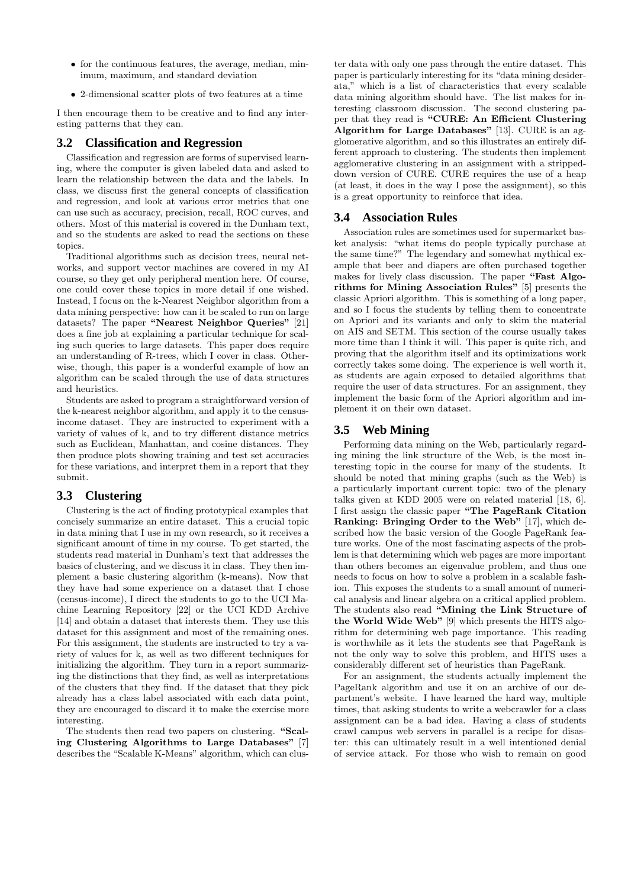- for the continuous features, the average, median, minimum, maximum, and standard deviation
- 2-dimensional scatter plots of two features at a time

I then encourage them to be creative and to find any interesting patterns that they can.

## **3.2 Classification and Regression**

Classification and regression are forms of supervised learning, where the computer is given labeled data and asked to learn the relationship between the data and the labels. In class, we discuss first the general concepts of classification and regression, and look at various error metrics that one can use such as accuracy, precision, recall, ROC curves, and others. Most of this material is covered in the Dunham text, and so the students are asked to read the sections on these topics.

Traditional algorithms such as decision trees, neural networks, and support vector machines are covered in my AI course, so they get only peripheral mention here. Of course, one could cover these topics in more detail if one wished. Instead, I focus on the k-Nearest Neighbor algorithm from a data mining perspective: how can it be scaled to run on large datasets? The paper "Nearest Neighbor Queries" [21] does a fine job at explaining a particular technique for scaling such queries to large datasets. This paper does require an understanding of R-trees, which I cover in class. Otherwise, though, this paper is a wonderful example of how an algorithm can be scaled through the use of data structures and heuristics.

Students are asked to program a straightforward version of the k-nearest neighbor algorithm, and apply it to the censusincome dataset. They are instructed to experiment with a variety of values of k, and to try different distance metrics such as Euclidean, Manhattan, and cosine distances. They then produce plots showing training and test set accuracies for these variations, and interpret them in a report that they submit.

# **3.3 Clustering**

Clustering is the act of finding prototypical examples that concisely summarize an entire dataset. This a crucial topic in data mining that I use in my own research, so it receives a significant amount of time in my course. To get started, the students read material in Dunham's text that addresses the basics of clustering, and we discuss it in class. They then implement a basic clustering algorithm (k-means). Now that they have had some experience on a dataset that I chose (census-income), I direct the students to go to the UCI Machine Learning Repository [22] or the UCI KDD Archive [14] and obtain a dataset that interests them. They use this dataset for this assignment and most of the remaining ones. For this assignment, the students are instructed to try a variety of values for k, as well as two different techniques for initializing the algorithm. They turn in a report summarizing the distinctions that they find, as well as interpretations of the clusters that they find. If the dataset that they pick already has a class label associated with each data point, they are encouraged to discard it to make the exercise more interesting.

The students then read two papers on clustering. "Scaling Clustering Algorithms to Large Databases" [7] describes the "Scalable K-Means" algorithm, which can clus-

ter data with only one pass through the entire dataset. This paper is particularly interesting for its "data mining desiderata," which is a list of characteristics that every scalable data mining algorithm should have. The list makes for interesting classroom discussion. The second clustering paper that they read is "CURE: An Efficient Clustering Algorithm for Large Databases" [13]. CURE is an agglomerative algorithm, and so this illustrates an entirely different approach to clustering. The students then implement agglomerative clustering in an assignment with a strippeddown version of CURE. CURE requires the use of a heap (at least, it does in the way I pose the assignment), so this is a great opportunity to reinforce that idea.

# **3.4 Association Rules**

Association rules are sometimes used for supermarket basket analysis: "what items do people typically purchase at the same time?" The legendary and somewhat mythical example that beer and diapers are often purchased together makes for lively class discussion. The paper "Fast Algorithms for Mining Association Rules" [5] presents the classic Apriori algorithm. This is something of a long paper, and so I focus the students by telling them to concentrate on Apriori and its variants and only to skim the material on AIS and SETM. This section of the course usually takes more time than I think it will. This paper is quite rich, and proving that the algorithm itself and its optimizations work correctly takes some doing. The experience is well worth it, as students are again exposed to detailed algorithms that require the user of data structures. For an assignment, they implement the basic form of the Apriori algorithm and implement it on their own dataset.

## **3.5 Web Mining**

Performing data mining on the Web, particularly regarding mining the link structure of the Web, is the most interesting topic in the course for many of the students. It should be noted that mining graphs (such as the Web) is a particularly important current topic: two of the plenary talks given at KDD 2005 were on related material [18, 6]. I first assign the classic paper "The PageRank Citation Ranking: Bringing Order to the Web" [17], which described how the basic version of the Google PageRank feature works. One of the most fascinating aspects of the problem is that determining which web pages are more important than others becomes an eigenvalue problem, and thus one needs to focus on how to solve a problem in a scalable fashion. This exposes the students to a small amount of numerical analysis and linear algebra on a critical applied problem. The students also read "Mining the Link Structure of the World Wide Web" [9] which presents the HITS algorithm for determining web page importance. This reading is worthwhile as it lets the students see that PageRank is not the only way to solve this problem, and HITS uses a considerably different set of heuristics than PageRank.

For an assignment, the students actually implement the PageRank algorithm and use it on an archive of our department's website. I have learned the hard way, multiple times, that asking students to write a webcrawler for a class assignment can be a bad idea. Having a class of students crawl campus web servers in parallel is a recipe for disaster: this can ultimately result in a well intentioned denial of service attack. For those who wish to remain on good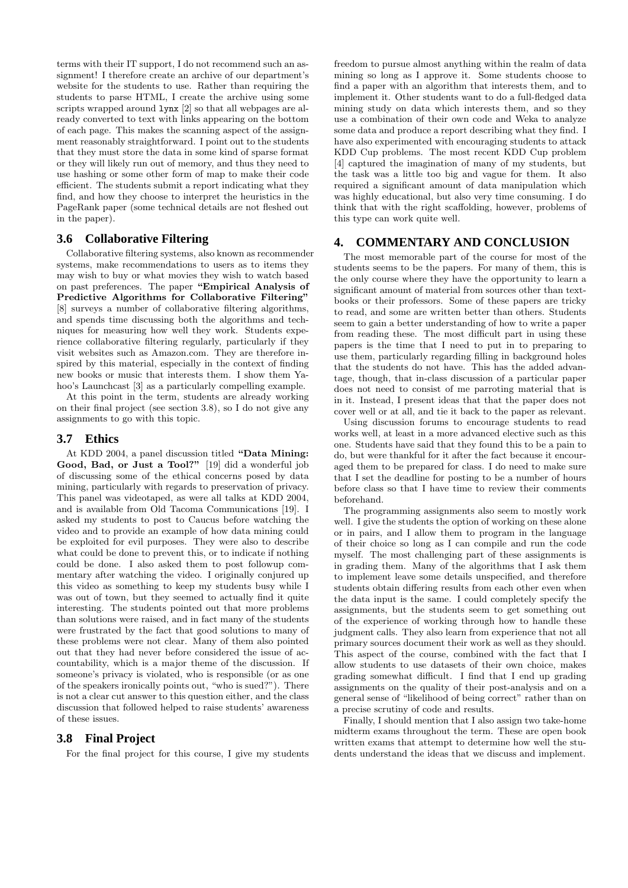terms with their IT support, I do not recommend such an assignment! I therefore create an archive of our department's website for the students to use. Rather than requiring the students to parse HTML, I create the archive using some scripts wrapped around lynx [2] so that all webpages are already converted to text with links appearing on the bottom of each page. This makes the scanning aspect of the assignment reasonably straightforward. I point out to the students that they must store the data in some kind of sparse format or they will likely run out of memory, and thus they need to use hashing or some other form of map to make their code efficient. The students submit a report indicating what they find, and how they choose to interpret the heuristics in the PageRank paper (some technical details are not fleshed out in the paper).

#### **3.6 Collaborative Filtering**

Collaborative filtering systems, also known as recommender systems, make recommendations to users as to items they may wish to buy or what movies they wish to watch based on past preferences. The paper "Empirical Analysis of Predictive Algorithms for Collaborative Filtering" [8] surveys a number of collaborative filtering algorithms, and spends time discussing both the algorithms and techniques for measuring how well they work. Students experience collaborative filtering regularly, particularly if they visit websites such as Amazon.com. They are therefore inspired by this material, especially in the context of finding new books or music that interests them. I show them Yahoo's Launchcast [3] as a particularly compelling example.

At this point in the term, students are already working on their final project (see section 3.8), so I do not give any assignments to go with this topic.

#### **3.7 Ethics**

At KDD 2004, a panel discussion titled "Data Mining: Good, Bad, or Just a Tool?" [19] did a wonderful job of discussing some of the ethical concerns posed by data mining, particularly with regards to preservation of privacy. This panel was videotaped, as were all talks at KDD 2004, and is available from Old Tacoma Communications [19]. I asked my students to post to Caucus before watching the video and to provide an example of how data mining could be exploited for evil purposes. They were also to describe what could be done to prevent this, or to indicate if nothing could be done. I also asked them to post followup commentary after watching the video. I originally conjured up this video as something to keep my students busy while I was out of town, but they seemed to actually find it quite interesting. The students pointed out that more problems than solutions were raised, and in fact many of the students were frustrated by the fact that good solutions to many of these problems were not clear. Many of them also pointed out that they had never before considered the issue of accountability, which is a major theme of the discussion. If someone's privacy is violated, who is responsible (or as one of the speakers ironically points out, "who is sued?"). There is not a clear cut answer to this question either, and the class discussion that followed helped to raise students' awareness of these issues.

#### **3.8 Final Project**

For the final project for this course, I give my students

freedom to pursue almost anything within the realm of data mining so long as I approve it. Some students choose to find a paper with an algorithm that interests them, and to implement it. Other students want to do a full-fledged data mining study on data which interests them, and so they use a combination of their own code and Weka to analyze some data and produce a report describing what they find. I have also experimented with encouraging students to attack KDD Cup problems. The most recent KDD Cup problem [4] captured the imagination of many of my students, but the task was a little too big and vague for them. It also required a significant amount of data manipulation which was highly educational, but also very time consuming. I do think that with the right scaffolding, however, problems of this type can work quite well.

#### **4. COMMENTARY AND CONCLUSION**

The most memorable part of the course for most of the students seems to be the papers. For many of them, this is the only course where they have the opportunity to learn a significant amount of material from sources other than textbooks or their professors. Some of these papers are tricky to read, and some are written better than others. Students seem to gain a better understanding of how to write a paper from reading these. The most difficult part in using these papers is the time that I need to put in to preparing to use them, particularly regarding filling in background holes that the students do not have. This has the added advantage, though, that in-class discussion of a particular paper does not need to consist of me parroting material that is in it. Instead, I present ideas that that the paper does not cover well or at all, and tie it back to the paper as relevant.

Using discussion forums to encourage students to read works well, at least in a more advanced elective such as this one. Students have said that they found this to be a pain to do, but were thankful for it after the fact because it encouraged them to be prepared for class. I do need to make sure that I set the deadline for posting to be a number of hours before class so that I have time to review their comments beforehand.

The programming assignments also seem to mostly work well. I give the students the option of working on these alone or in pairs, and I allow them to program in the language of their choice so long as I can compile and run the code myself. The most challenging part of these assignments is in grading them. Many of the algorithms that I ask them to implement leave some details unspecified, and therefore students obtain differing results from each other even when the data input is the same. I could completely specify the assignments, but the students seem to get something out of the experience of working through how to handle these judgment calls. They also learn from experience that not all primary sources document their work as well as they should. This aspect of the course, combined with the fact that I allow students to use datasets of their own choice, makes grading somewhat difficult. I find that I end up grading assignments on the quality of their post-analysis and on a general sense of "likelihood of being correct" rather than on a precise scrutiny of code and results.

Finally, I should mention that I also assign two take-home midterm exams throughout the term. These are open book written exams that attempt to determine how well the students understand the ideas that we discuss and implement.